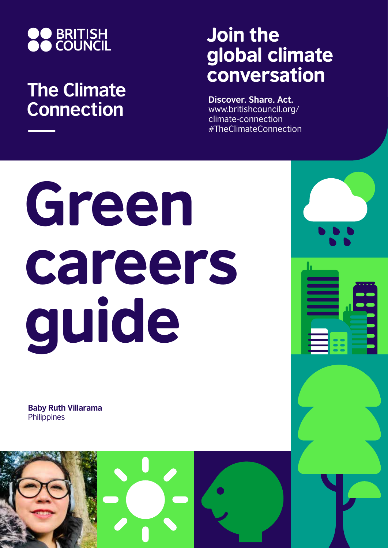

## **The Climate Connection**

## Join the global climate conversation

**Discover. Share. Act.** www.britishcouncil.org/ climate-connection #TheClimateConnection

# Green careers guide

**Baby Ruth Villarama Philippines** 

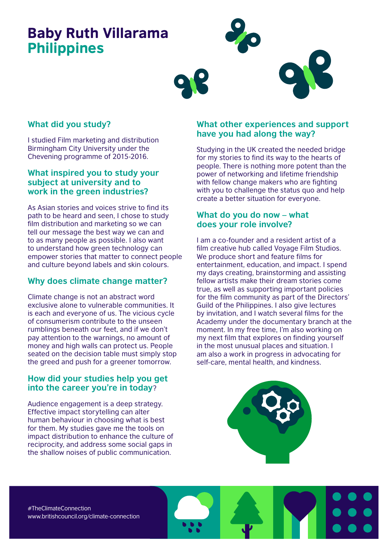### Baby Ruth Villarama Philippines



#### **What did you study?**

I studied Film marketing and distribution Birmingham City University under the Chevening programme of 2015-2016.

#### **What inspired you to study your subject at university and to work in the green industries?**

As Asian stories and voices strive to find its path to be heard and seen, I chose to study film distribution and marketing so we can tell our message the best way we can and to as many people as possible. I also want to understand how green technology can empower stories that matter to connect people and culture beyond labels and skin colours.

#### **Why does climate change matter?**

Climate change is not an abstract word exclusive alone to vulnerable communities. It is each and everyone of us. The vicious cycle of consumerism contribute to the unseen rumblings beneath our feet, and if we don't pay attention to the warnings, no amount of money and high walls can protect us. People seated on the decision table must simply stop the greed and push for a greener tomorrow.

#### **How did your studies help you get into the career you're in today**?

Audience engagement is a deep strategy. Effective impact storytelling can alter human behaviour in choosing what is best for them. My studies gave me the tools on impact distribution to enhance the culture of reciprocity, and address some social gaps in the shallow noises of public communication.

#### **What other experiences and support have you had along the way?**

Studying in the UK created the needed bridge for my stories to find its way to the hearts of people. There is nothing more potent than the power of networking and lifetime friendship with fellow change makers who are fighting with you to challenge the status quo and help create a better situation for everyone.

#### **What do you do now – what does your role involve?**

I am a co-founder and a resident artist of a film creative hub called Voyage Film Studios. We produce short and feature films for entertainment, education, and impact. I spend my days creating, brainstorming and assisting fellow artists make their dream stories come true, as well as supporting important policies for the film community as part of the Directors' Guild of the Philippines. I also give lectures by invitation, and I watch several films for the Academy under the documentary branch at the moment. In my free time, I'm also working on my next film that explores on finding yourself in the most unusual places and situation. I am also a work in progress in advocating for self-care, mental health, and kindness.



#TheClimateConnection www.britishcouncil.org/climate-connection